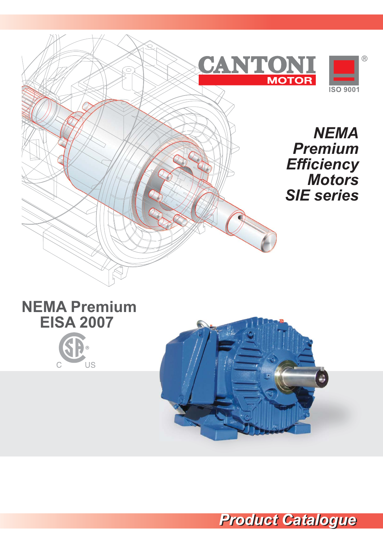



 $\overline{C}$ 



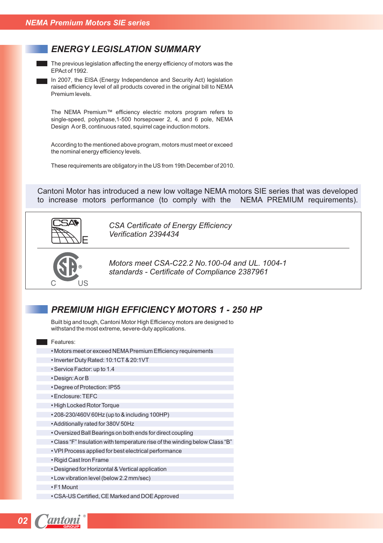### *ENERGY LEGISLATION SUMMARY*

 $\blacksquare$  The previous legislation affecting the energy efficiency of motors was the EPAct of 1992.

In 2007, the EISA (Energy Independence and Security Act) legislation raised efficiency level of all products covered in the original bill to NEMA Premium levels.

The NEMA Premium™ efficiency electric motors program refers to single-speed, polyphase,1-500 horsepower 2, 4, and 6 pole, NEMA Design A or B, continuous rated, squirrel cage induction motors.

According to the mentioned above program, motors must meet or exceed the nominal energy efficiency levels.

These requirements are obligatory in the US from 19th December of 2010.

Cantoni Motor has introduced a new low voltage NEMA motors SIE series that was developed to increase motors performance (to comply with the NEMA PREMIUM requirements).



*CSA Certificate of Energy Efficiency Verification 2394434*



*Motors meet CSA-C22.2 No.100-04 and UL. 1004-1 standards - Certificate of Compliance 2387961*

#### *PREMIUM HIGH EFFICIENCY MOTORS 1 - 250 HP*

Built big and tough, Cantoni Motor High Efficiency motors are designed to withstand the most extreme, severe-duty applications.

**Features:** 

- Motors meet or exceed NEMA Premium Efficiency requirements
- Inverter Duty Rated: 10:1CT & 20:1VT
- Service Factor: up to 1.4
- Design: A or B
- Degree of Protection: IP55
- Enclosure: TEFC
- High Locked Rotor Torque
- 208-230/460V 60Hz (up to & including 100HP)
- Additionally rated for 380V 50Hz
- Oversized Ball Bearings on both ends for direct coupling
- Class "F" Insulation with temperature rise of the winding below Class "B"
- VPI Process applied for best electrical performance
- Rigid Cast Iron Frame
- Designed for Horizontal & Vertical application
- Low vibration level (below 2.2 mm/sec)
- F1 Mount
- CSA-US Certified, CE Marked and DOE Approved

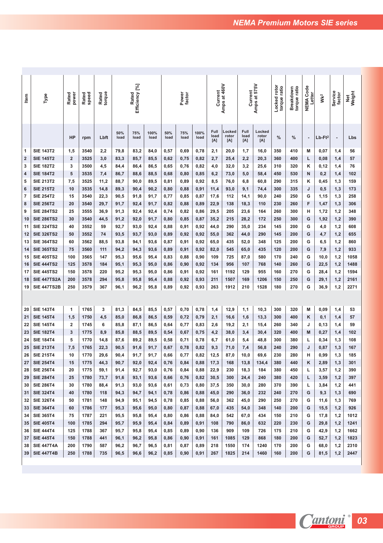| <b>Item</b>    | Type               | Rated<br>power          | speed<br>Rated | Rated<br>torque |             | Efficiency [%]<br>Rated |              |             | Power<br>factor |              | Current             | Amps at 460V           | Current             | ຸລ<br>Amps at 57       | Locked rotor<br>torque ratio | torque ratio<br>Breakdown | NEMA Code<br>Letter | Wк <sup>2</sup>       | Service<br>factor | Weight<br><b>Net</b> |
|----------------|--------------------|-------------------------|----------------|-----------------|-------------|-------------------------|--------------|-------------|-----------------|--------------|---------------------|------------------------|---------------------|------------------------|------------------------------|---------------------------|---------------------|-----------------------|-------------------|----------------------|
|                |                    | HP                      | rpm            | Lbft            | 50%<br>load | 75%<br>load             | 100%<br>load | 50%<br>load | 75%<br>load     | 100%<br>load | Full<br>load<br>[A] | Locked<br>rotor<br>[A] | Full<br>load<br>[A] | Locked<br>rotor<br>[A] | %                            | %                         |                     | $Lb$ -Ft <sup>2</sup> | ÷                 | Lbs                  |
| 1              | <b>SIE 143T2</b>   | 1,5                     | 3540           | 2,2             | 79,8        | 83,2                    | 84,0         | 0,57        | 0,69            | 0,78         | 2,1                 | 20,0                   | 1,7                 | 16,0                   | 350                          | 410                       | M                   | 0,07                  | 1,4               | 56                   |
| $\overline{2}$ | <b>SIE 145T2</b>   | $\overline{2}$          | 3525           | 3,0             | 83,3        | 85,7                    | 85,5         | 0,62        | 0,75            | 0,82         | 2,7                 | 25,4                   | 2,2                 | 20,3                   | 360                          | 400                       | L                   | 0,08                  | 1,4               | 57                   |
| 3              | <b>SIE 182T2</b>   | 3                       | 3500           | 4,5             | 84,4        | 86,4                    | 86,5         | 0,65        | 0,76            | 0,82         | 4,0                 | 32,0                   | 3,2                 | 25,6                   | 310                          | 320                       | κ                   | 0,12                  | 1,4               | 76                   |
| $\overline{4}$ | <b>SIE 184T2</b>   | 5                       | 3535           | 7,4             | 86,7        | 88,6                    | 88,5         | 0,68        | 0,80            | 0,85         | 6,2                 | 73,0                   | 5,0                 | 58,4                   | 450                          | 530                       | N                   | 0,2                   | 1,4               | 102                  |
| 5              | <b>SIE 213T2</b>   | 7,5                     | 3525           | 11,2            | 88,7        | 90,0                    | 89,5         | 0,81        | 0,89            | 0,92         | 8,5                 | 76,0                   | 6,8                 | 60,8                   | 290                          | 315                       | κ                   | 0,45                  | 1,3               | 159                  |
| 6              | <b>SIE 215T2</b>   | 10                      | 3535           | 14,8            | 89,3        | 90,4                    | 90,2         | 0,80        | 0,88            | 0,91         | 11,4                | 93,0                   | 9,1                 | 74,4                   | 300                          | 335                       | J                   | 0,5                   | 1,3               | 173                  |
| $\overline{7}$ | <b>SIE 254T2</b>   | 15                      | 3540           | 22,3            | 90,5        | 91,8                    | 91,7         | 0,77        | 0,85            | 0,87         | 17,6                | 112                    | 14,1                | 90,0                   | 240                          | 250                       | G                   | 1,15                  | 1,3               | 258                  |
| 8              | <b>SIE 256T2</b>   | 20                      | 3540           | 29,7            | 91,7        | 92,4                    | 91,7         | 0,82        | 0,88            | 0,89         | 22,9                | 138                    | 18,3                | 110                    | 230                          | 260                       | F                   | 1,47                  | 1,3               | 306                  |
| 9              | <b>SIE 284TS2</b>  | 25                      | 3555           | 36,9            | 91,3        | 92,4                    | 92,4         | 0,74        | 0,82            | 0,86         | 29,5                | 205                    | 23,6                | 164                    | 260                          | 300                       | н                   | 1,72                  | 1,2               | 348                  |
| 10             | <b>SIE 286TS2</b>  | 30                      | 3540           | 44,5            | 91,2        | 92,0                    | 91,7         | 0,80        | 0,85            | 0,87         | 35,2                | 215                    | 28,2                | 172                    | 250                          | 300                       | G                   | 1,92                  | 1,2               | 390                  |
| 11             | <b>SIE 324TS2</b>  | 40                      | 3552           | 59              | 92,7        | 93,0                    | 92,4         | 0,88        | 0,91            | 0,92         | 44,0                | 290                    | 35,0                | 234                    | 145                          | 200                       | G                   | 4,0                   | 1,2               | 608                  |
| 12             | <b>SIE 326TS2</b>  | 50                      | 3552           | 74              | 93,5        | 93,7                    | 93,0         | 0,89        | 0,92            | 0,92         | 55,0                | 362                    | 44,0                | 290                    | 145                          | 200                       | G                   | 4,7                   | 1,2               | 655                  |
| 13             | <b>SIE 364TS2</b>  | 60                      | 3562           | 88,5            | 93,8        | 94,1                    | 93,6         | 0,87        | 0,91            | 0,92         | 65,0                | 435                    | 52,0                | 348                    | 125                          | 200                       | G                   | 6,5                   | 1,2               | 860                  |
| 14             | <b>SIE 365TS2</b>  | 75                      | 3560           | 111             | 94,2        | 94,3                    | 93,6         | 0,89        | 0,91            | 0,92         | 82,0                | 545                    | 65,0                | 435                    | 120                          | 200                       | G                   | 7,9                   | 1,2               | 933                  |
| 15             | <b>SIE 405TS2</b>  | 100                     | 3565           | 147             | 95,3        | 95,6                    | 95,4         | 0,83        | 0,88            | 0,90         | 109                 | 725                    | 87,0                | 580                    | 170                          | 240                       | G                   | 10,0                  | 1,2               | 1058                 |
| 16             | <b>SIE 444TS2</b>  | 125                     | 3578           | 184             | 95,1        | 95,3                    | 95,0         | 0,86        | 0,90            | 0,92         | 134                 | 956                    | 107                 | 768                    | 140                          | 260                       | G                   | 22,5                  | 1,2               | 1488                 |
| 17             | <b>SIE 445TS2</b>  | 150                     | 3578           | 220             | 95,2        | 95,3                    | 95,0         | 0,86        | 0,91            | 0,92         | 161                 | 1192                   | 129                 | 955                    | 160                          | 270                       | G                   | 28,4                  | 1,2               | 1594                 |
| 18             | <b>SIE 447TS2A</b> | 200                     | 3578           | 294             | 95,8        | 95,8                    | 95,4         | 0,88        | 0,92            | 0,93         | 211                 | 1507                   | 169                 | 1206                   | 150                          | 250                       | G                   | 29,1                  | 1,2               | 2161                 |
| 19             | <b>SIE 447TS2B</b> | 250                     | 3579           | 367             | 96,1        | 96,2                    | 95,8         | 0,89        | 0,92            | 0,93         | 263                 | 1912                   | 210                 | 1528                   | 180                          | 270                       | G                   | 36,9                  | 1,2               | 2271                 |
|                |                    |                         |                |                 |             |                         |              |             |                 |              |                     |                        |                     |                        |                              |                           |                     |                       |                   |                      |
| 20             | <b>SIE 143T4</b>   | 1                       | 1765           | 3               | 81,3        | 84,5                    | 85,5         | 0,57        | 0,70            | 0,78         | 1,4                 | 12,9                   | 1,1                 | 10,3                   | 300                          | 320                       | M                   | 0,09                  | 1,4               | 53                   |
| 21             | <b>SIE 145T4</b>   | 1,5                     | 1750           | 4,5             | 85,0        | 86,8                    | 86,5         | 0,59        | 0,72            | 0,79         | 2,1                 | 16,6                   | 1,6                 | 13,3                   | 300                          | 400                       | κ                   | 0,1                   | 1,4               | 57                   |
| 22             | <b>SIE 145T4</b>   | $\overline{\mathbf{2}}$ | 1745           | 6               | 85,8        | 87,1                    | 86,5         | 0,64        | 0,77            | 0,83         | 2,6                 | 19,2                   | 2,1                 | 15,4                   | 260                          | 340                       | J                   | 0,13                  | 1,4               | 59                   |
| 23             | <b>SIE 182T4</b>   | 3                       | 1775           | 8,9             | 85,8        | 88,5                    | 89,5         | 0,54        | 0,67            | 0,75         | 4,2                 | 38,0                   | 3,4                 | 30,4                   | 320                          | 400                       | м                   | 0,27                  | 1,4               | 102                  |
| 24             | <b>SIE 184T4</b>   | 5                       | 1770           | 14,8            | 87,6        | 89,2                    | 89,5         | 0,58        | 0,71            | 0,78         | 6,7                 | 61,0                   | 5,4                 | 48,8                   | 300                          | 380                       | L                   | 0,34                  | 1,3               | 108                  |
| 25             | <b>SIE 213T4</b>   | 7,5                     | 1765           | 22,3            | 90,5        | 91,6                    | 91,7         | 0,67        | 0,78            | 0,82         | 9,3                 | 71,0                   | 7,4                 | 56,8                   | 240                          | 290                       | J                   | 0,87                  | 1,3               | 167                  |
| 26             | <b>SIE 215T4</b>   | 10                      | 1770           | 29,6            | 90,4        | 91,7                    | 91,7         | 0,66        | 0,77            | 0,82         | 12,5                | 87,0                   | 10,0                | 69,6                   | 230                          | 280                       | н                   | 0,99                  | 1,3               | 185                  |
| 27             | <b>SIE 254T4</b>   | 15                      | 1775           | 44,3            | 90,7        | 92,0                    | 92,4         | 0,76        | 0,84            | 0,88         | 17,3                | 168                    | 13,8                | 134,4                  | 380                          | 440                       | κ                   | 2,89                  | 1,3               | 301                  |
| 28             | <b>SIE 256T4</b>   | 20                      | 1775           | 59,1            | 91,4        | 92,7                    | 93,0         | 0,76        | 0,84            | 0,88         | 22,9                | 230                    | 18,3                | 184                    | 380                          | 450                       | L                   | 3,57                  | 1,2               | 390                  |
| 29             | <b>SIE 284T4</b>   | 25                      | 1780           | 73,7            | 91,6        | 93,1                    | 93,6         | 0,66        | 0,76            | 0,82         | 30,5                | 300                    | 24,4                | 240                    | 380                          | 420                       | L                   | 3,59                  | 1,2               | 397                  |
| 30             | <b>SIE 286T4</b>   | 30                      | 1780           | 88,4            | 91,3        | 93,0                    | 93,6         | 0,61        | 0,73            | 0,80         | 37,5                | 350                    | 30,0                | 280                    | 370                          | 390                       | L                   | 3,84                  | 1,2               | 441                  |
| 31             | <b>SIE 324T4</b>   | 40                      | 1780           | 118             | 94,3        | 94,7                    | 94,1         | 0,78        | 0,86            | 0,88         | 45,0                | 290                    | 36,0                | 232                    | 240                          | 270                       | G                   | 9,3                   | 1,3               | 690                  |
| 32             | <b>SIE 326T4</b>   | 50                      | 1781           | 148             | 94,9        | 95,1                    | 94,5         | 0,78        | 0,85            | 0,88         | 56,0                | 362                    | 45,0                | 290                    | 250                          | 270                       | G                   | 11,6                  | 1,3               | 769                  |
| 33             | <b>SIE 364T4</b>   | 60                      | 1786           | 177             | 95,3        | 95,6                    | 95,0         | 0,80        | 0,87            | 0,88         | 67,0                | 435                    | 54,0                | 348                    | 140                          | 200                       | G                   | 15,5                  | 1,2               | 926                  |
| 34             | <b>SIE 365T4</b>   | 75                      | 1787           | 221             | 95,5        | 95,8                    | 95,4         | 0,80        | 0,86            | 0,88         | 84,0                | 542                    | 67,0                | 434                    | 150                          | 210                       | G                   | 17,8                  | 1,2               | 1012                 |
| 35             | <b>SIE 405T4</b>   | 100                     | 1785           | 294             | 95,7        | 95,9                    | 95,4         | 0,84        | 0,89            | 0,91         | 108                 | 790                    | 86,0                | 632                    | 220                          | 230                       | G                   | 29,8                  | 1,2               | 1241                 |
| 36             | <b>SIE 444T4</b>   | 125                     | 1788           | 367             | 95,7        | 95,8                    | 95,4         | 0,85        | 0,89            | 0,90         | 136                 | 909                    | 109                 | 726                    | 175                          | 210                       | G                   | 42,9                  | 1,2               | 1662                 |
| 37             | <b>SIE 445T4</b>   | 150                     | 1788           | 441             | 96,1        | 96,2                    | 95,8         | 0,86        | 0,90            | 0,91         | 161                 | 1085                   | 129                 | 868                    | 180                          | 200                       | G                   | 52,7                  | 1,2               | 1823                 |
| 38             | <b>SIE 447T4A</b>  | 200                     | 1790           | 587             | 96,2        | 96,7                    | 96,5         | 0,81        | 0,87            | 0,89         | 218                 | 1550                   | 174                 | 1240                   | 170                          | 200                       | G                   | 68,0                  | 1,2               | 2310                 |
| 39             | <b>SIE 447T4B</b>  | 250                     | 1788           | 735             | 96,5        | 96,6                    | 96,2         | 0,85        | 0,90            | 0,91         | 267                 | 1825                   | 214                 | 1460                   | 160                          | 200                       | G                   | 81,5                  | 1,2               | 2447                 |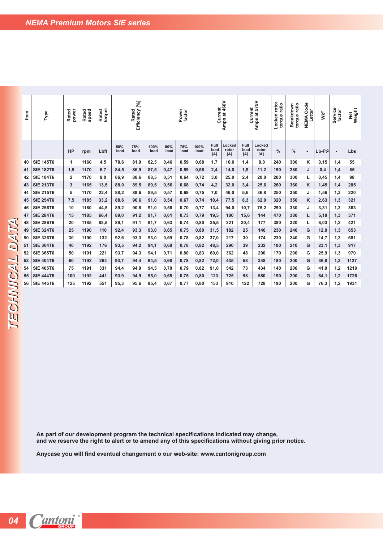| Item | Type             | power<br>Rated | speed<br>Rated | torque<br>Rated |             | Efficiency [%]<br>Rated |              |             | Power<br>factor |              | Current             | Amps at 460V           | Current             | 575V<br>$\vec{a}$<br>Amps | Locked rotor<br>torque ratio | torque ratio<br>Breakdown | Code<br>Letter<br><b>NEMA</b> | Wk <sup>2</sup>       | Service<br>factor | Weight<br><b>Jet</b> |
|------|------------------|----------------|----------------|-----------------|-------------|-------------------------|--------------|-------------|-----------------|--------------|---------------------|------------------------|---------------------|---------------------------|------------------------------|---------------------------|-------------------------------|-----------------------|-------------------|----------------------|
|      |                  | <b>HP</b>      | rpm            | Lbft            | 50%<br>load | 75%<br>load             | 100%<br>load | 50%<br>load | 75%<br>load     | 100%<br>load | Full<br>load<br>[A] | Locked<br>rotor<br>[A] | Full<br>load<br>[A] | Locked<br>rotor<br>[A]    | %                            | %                         | $\overline{\phantom{a}}$      | $Lb$ -Ft <sup>2</sup> | $\overline{a}$    | Lbs                  |
| 40   | <b>SIE 145T6</b> | 1              | 1160           | 4,5             | 78,6        | 81,9                    | 82,5         | 0,46        | 0,59            | 0,68         | 1,7                 | 10,0                   | 1,4                 | 8,0                       | 240                          | 300                       | κ                             | 0, 15                 | 1,4               | 55                   |
| 41   | <b>SIE 182T6</b> | 1,5            | 1170           | 6,7             | 84,5        | 86,9                    | 87,5         | 0,47        | 0,59            | 0,68         | 2,4                 | 14,0                   | 1,9                 | 11,2                      | 190                          | 280                       | J                             | 0,4                   | 1,4               | 85                   |
| 42   | <b>SIE 184T6</b> | 2              | 1170           | 9,0             | 86,9        | 88,6                    | 88,5         | 0,51        | 0,64            | 0,72         | 3,0                 | 25,0                   | 2,4                 | 20.0                      | 200                          | 300                       | L                             | 0,45                  | 1,4               | 98                   |
| 43   | <b>SIE 213T6</b> | 3              | 1165           | 13,5            | 88,0        | 89,5                    | 89,5         | 0,56        | 0,68            | 0,74         | 4,2                 | 32,0                   | 3,4                 | 25,6                      | 260                          | 360                       | Κ                             | 1,45                  | 1,4               | 205                  |
| 44   | <b>SIE 215T6</b> | 5              | 1170           | 22,4            | 88,2        | 89,6                    | 89,5         | 0,57        | 0,69            | 0,75         | 7,0                 | 46,0                   | 5,6                 | 36,8                      | 250                          | 350                       | J                             | 1,56                  | 1,3               | 220                  |
| 45   | <b>SIE 254T6</b> | 7,5            | 1185           | 33,2            | 88,6        | 90,6                    | 91,0         | 0,54        | 0,67            | 0,74         | 10,4                | 77,5                   | 8,3                 | 62,0                      | 320                          | 350                       | Κ                             | 2,63                  | 1,3               | 321                  |
| 46   | <b>SIE 256T6</b> | 10             | 1180           | 44,5            | 89,2        | 90,8                    | 91,0         | 0,58        | 0,70            | 0,77         | 13,4                | 94,0                   | 10,7                | 75,2                      | 290                          | 330                       | J                             | 3,31                  | 1,3               | 363                  |
| 47   | <b>SIE 284T6</b> | 15             | 1185           | 66,4            | 89,0        | 91,2                    | 91,7         | 0,61        | 0,73            | 0,79         | 19,5                | 180                    | 15,6                | 144                       | 470                          | 380                       | L                             | 5,19                  | 1,3               | 371                  |
| 48   | <b>SIE 286T6</b> | 20             | 1185           | 88,5            | 89,1        | 91,1                    | 91,7         | 0,63        | 0,74            | 0,80         | 25,5                | 221                    | 20,4                | 177                       | 380                          | 320                       |                               | 6,03                  | 1,2               | 421                  |
| 49   | <b>SIE 324T6</b> | 25             | 1190           | 110             | 92,4        | 93,3                    | 93,0         | 0,65        | 0,75            | 0,80         | 31,5                | 182                    | 25                  | 146                       | 230                          | 240                       | G                             | 12,9                  | 1,3               | 653                  |
| 50   | <b>SIE 326T6</b> | 30             | 1190           | 132             | 92,6        | 93,3                    | 93,0         | 0,69        | 0,78            | 0,82         | 37,0                | 217                    | 30                  | 174                       | 230                          | 240                       | G                             | 14,7                  | 1,3               | 681                  |
| 51   | <b>SIE 364T6</b> | 40             | 1192           | 176             | 93,5        | 94,2                    | 94,1         | 0,68        | 0,78            | 0,82         | 48,5                | 290                    | 39                  | 232                       | 180                          | 210                       | G                             | 23,1                  | 1,3               | 917                  |
| 52   | <b>SIE 365T6</b> | 50             | 1191           | 221             | 93,7        | 94,3                    | 94,1         | 0,71        | 0,80            | 0,83         | 60,0                | 362                    | 48                  | 290                       | 170                          | 200                       | G                             | 25,9                  | 1,3               | 970                  |
| 53   | <b>SIE 404T6</b> | 60             | 1192           | 264             | 93,7        | 94,4                    | 94,5         | 0,68        | 0,78            | 0,82         | 72,0                | 435                    | 58                  | 348                       | 180                          | 200                       | G                             | 36,8                  | 1,3               | 1127                 |
| 54   | <b>SIE 405T6</b> | 75             | 1191           | 331             | 94,4        | 94,9                    | 94,5         | 0,70        | 0,79            | 0,82         | 91,0                | 542                    | 73                  | 434                       | 140                          | 200                       | G                             | 41,9                  | 1,2               | 1210                 |
| 55   | <b>SIE 444T6</b> | 100            | 1192           | 441             | 93,9        | 94,9                    | 95,0         | 0,65        | 0,75            | 0,80         | 123                 | 725                    | 98                  | 580                       | 190                          | 200                       | G                             | 64,1                  | 1,2               | 1726                 |
| 56   | <b>SIE 445T6</b> | 125            | 1192           | 551             | 95.3        | 95.6                    | 95.4         | 0.67        | 0.77            | 0.80         | 153                 | 910                    | 122                 | 728                       | 190                          | 200                       | G                             | 76.3                  | 1,2               | 1931                 |

**As part of our development program the technical specifications indicated may change, and we reserve the right to alert or to amend any of this specifications without giving prior notice.** 

**Anycase you will find eventual changement o our web-site: www.cantonigroup.com**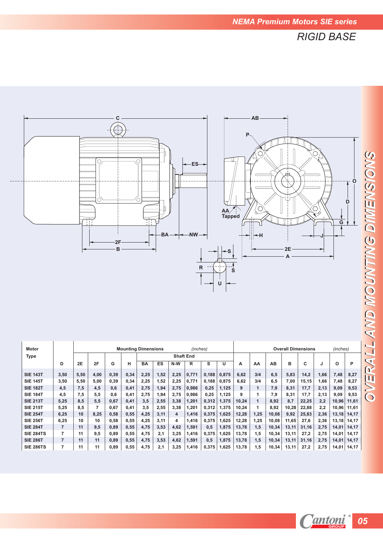*RIGID BASE*



| <b>Motor</b>     |                |                 |      |      |      | <b>Mounting Dimensions</b> |      |      | (inches)         |       |       |       |              |       |       | <b>Overall Dimensions</b> |      | (inches) |       |
|------------------|----------------|-----------------|------|------|------|----------------------------|------|------|------------------|-------|-------|-------|--------------|-------|-------|---------------------------|------|----------|-------|
| <b>Type</b>      |                |                 |      |      |      |                            |      |      | <b>Shaft End</b> |       |       |       |              |       |       |                           |      |          |       |
|                  | D              | 2E              | 2F   | G    | н    | BA                         | ES   | N-W  | R                | s     | U     | А     | AA           | AB    | в     | c                         | J    | Ο        | P     |
| <b>SIE 143T</b>  | 3,50           | 5,50            | 4,00 | 0,39 | 0,34 | 2,25                       | 1,52 | 2,25 | 0,771            | 0.188 | 0,875 | 6,62  | 3/4          | 6.5   | 5,83  | 14,2                      | 1.66 | 7,48     | 8,27  |
| <b>SIE 145T</b>  | 3,50           | 5,50            | 5,00 | 0,39 | 0,34 | 2,25                       | 1,52 | 2,25 | 0,771            | 0,188 | 0,875 | 6,62  | 3/4          | 6.5   | 7,00  | 15,15                     | 1,66 | 7,48     | 8,27  |
| <b>SIE 182T</b>  | 4,5            | 7,5             | 4,5  | 0,6  | 0,41 | 2,75                       | 1,94 | 2,75 | 0,986            | 0,25  | 1,125 | 9     | 1            | 7,9   | 8,31  | 17,7                      | 2,13 | 9,09     | 9,53  |
| <b>SIE 184T</b>  | 4,5            | 7.5             | 5.5  | 0,6  | 0,41 | 2,75                       | 1,94 | 2,75 | 0.986            | 0,25  | 1,125 | 9     |              | 7.9   | 8,31  | 17,7                      | 2,13 | 9,09     | 9,53  |
| <b>SIE 213T</b>  | 5,25           | 8.5             | 5.5  | 0,67 | 0,41 | 3,5                        | 2,55 | 3,38 | 1,201            | 0,312 | 1,375 | 10,24 | $\mathbf{1}$ | 8.92  | 8.7   | 22,25                     | 2.2  | 10,96    | 11,61 |
| <b>SIE 215T</b>  | 5,25           | 8.5             |      | 0,67 | 0,41 | 3,5                        | 2,55 | 3,38 | 1,201            | 0,312 | 1,375 | 10,24 | 1            | 8,92  | 10,28 | 22,88                     | 2.2  | 10,96    | 11,61 |
| <b>SIE 254T</b>  | 6,25           | 10 <sup>1</sup> | 8.25 | 0,58 | 0,55 | 4,25                       | 3,11 | 4    | 1,416            | 0.375 | 1.625 | 12,28 | 1,25         | 10,08 | 9,92  | 25.83                     | 2.36 | 13,18    | 14,17 |
| <b>SIE 256T</b>  | 6,25           | 10              | 10   | 0,58 | 0,55 | 4,25                       | 3,11 | 4    | 1,416            | 0,375 | 1,625 | 12,28 | 1,25         | 10,08 | 11,65 | 27,6                      | 2,36 | 13,18    | 14,17 |
| <b>SIE 284T</b>  | 7              | 11              | 9.5  | 0,89 | 0,55 | 4,75                       | 3,53 | 4,62 | 1,591            | 0.5   | 1,875 | 13,78 | 1,5          | 10,34 | 13,11 | 31.16                     | 2,75 | 14,01    | 14,17 |
| <b>SIE 284TS</b> | 7              | 11              | 9.5  | 0,89 | 0,55 | 4,75                       | 2,1  | 3,25 | 1,416            | 0,375 | 1,625 | 13,78 | 1,5          | 10.34 | 13,11 | 27,2                      | 2,75 | 14,01    | 14,17 |
| <b>SIE 286T</b>  | $\overline{7}$ | 11              | 11   | 0,89 | 0,55 | 4,75                       | 3,53 | 4,62 | 1,591            | 0.5   | 1,875 | 13,78 | 1.5          | 10,34 | 13,11 | 31,16                     | 2,75 | 14,01    | 14,17 |
| <b>SIE 286TS</b> | 7              | 11              | 11   | 0,89 | 0,55 | 4,75                       | 2,1  | 3,25 | 1,416            | 0,375 | 1,625 | 13,78 | 1,5          | 10,34 | 13,11 | 27,2                      | 2,75 | 14,01    | 14,17 |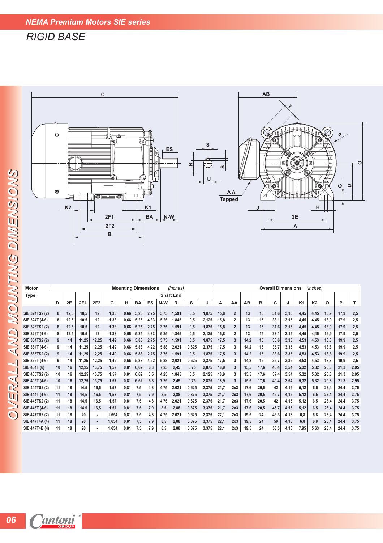## *RIGID BASE*



| MOUNTING DIMENSIONS |                                  |          |                |              |                          |              |                            |              | 順              |              |                  |                | U              |              |                                  |              |              |                           |              |              |                |              |              |              |
|---------------------|----------------------------------|----------|----------------|--------------|--------------------------|--------------|----------------------------|--------------|----------------|--------------|------------------|----------------|----------------|--------------|----------------------------------|--------------|--------------|---------------------------|--------------|--------------|----------------|--------------|--------------|--------------|
|                     |                                  | ⊕        |                |              |                          | ◎━━━◎        |                            |              |                |              |                  |                |                |              | ΑA<br><b>Tapped</b>              |              |              | Ø                         |              |              | Ó              |              | ပ            | $\Omega$     |
|                     |                                  |          | K <sub>2</sub> |              |                          |              |                            |              | K <sub>1</sub> |              |                  |                |                |              |                                  |              |              |                           |              |              | н              |              |              |              |
|                     |                                  |          |                |              |                          | 2F1<br>2F2   |                            |              | <b>BA</b>      | N-W          |                  |                |                |              |                                  |              |              |                           |              | 2E<br>A      |                |              |              |              |
|                     |                                  |          |                |              |                          | В            |                            |              |                |              |                  |                |                |              |                                  |              |              |                           |              |              |                |              |              |              |
|                     |                                  |          |                |              |                          |              |                            |              |                |              |                  |                |                |              |                                  |              |              |                           |              |              |                |              |              |              |
|                     |                                  |          |                |              |                          |              |                            |              |                |              |                  |                |                |              |                                  |              |              |                           |              |              |                |              |              |              |
|                     |                                  |          |                |              |                          |              |                            |              |                |              |                  |                |                |              |                                  |              |              |                           |              |              |                |              |              |              |
|                     | <b>Motor</b>                     |          |                |              |                          |              | <b>Mounting Dimensions</b> |              |                |              | (inches)         |                |                |              |                                  |              |              | <b>Overall Dimensions</b> |              |              | (inches)       |              |              |              |
|                     | <b>Type</b>                      |          |                |              |                          |              |                            |              |                |              | <b>Shaft End</b> |                |                |              |                                  |              |              |                           |              |              |                |              |              |              |
|                     |                                  | D        | 2E             | 2F1          | 2F2                      | G            | н                          | BA           | ES             | N-W          | R                | s              | U              | А            | AA                               | AB           | в            | C                         | J            | K1           | K <sub>2</sub> | $\circ$      | P            | т            |
|                     | SIE 324TS2 (2)<br>SIE 324T (4-6) | 8<br>8   | 12,5<br>12,5   | 10,5<br>10,5 | 12<br>12                 | 1,38<br>1,38 | 0,66<br>0,66               | 5,25<br>5,25 | 2,75<br>4,33   | 3,75<br>5,25 | 1,591<br>1,845   | 0,5<br>0,5     | 1,875<br>2,125 | 15,8<br>15,8 | $\overline{2}$<br>$\overline{2}$ | 13<br>13     | 15<br>15     | 31,6<br>33,1              | 3,15<br>3,15 | 4,45<br>4,45 | 4,45<br>4,45   | 16,9<br>16,9 | 17,9<br>17,9 | 2,5<br>2,5   |
|                     | SIE 326TS2 (2)                   | 8        | 12,5           | 10,5         | 12                       | 1,38         | 0,66                       | 5,25         | 2,75           | 3,75         | 1,591            | 0,5            | 1,875          | 15,8         | $\overline{2}$                   | 13           | 15           | 31,6                      | 3,15         | 4,45         | 4,45           | 16,9         | 17,9         | 2,5          |
| AND                 | SIE 326T (4-6)                   | 8        | 12,5           | 10,5         | 12                       | 1,38         | 0,66                       | 5,25         | 4,33           | 5,25         | 1,845            | 0,5            | 2,125          | 15,8         | $\overline{2}$                   | 13           | 15           | 33,1                      | 3,15         | 4,45         | 4,45           | 16,9         | 17,9         | 2,5          |
|                     | SIE 364TS2 (2)                   | 9        | 14             | 11,25        | 12,25                    | 1,49         | 0,66                       | 5,88         | 2,75           | 3,75         | 1,591            | 0,5            | 1,875          | 17,5         | $\mathbf{3}$                     | 14,2         | 15           | 33,6                      | 3,35         | 4,53         | 4,53           | 18,8         | 19,9         | 2,5          |
|                     | SIE 364T (4-6)                   | 9        | 14             | 11,25        | 12,25                    | 1,49         | 0,66                       | 5,88         | 4,92           | 5,88         | 2,021            | 0,625          | 2,375          | 17,5         | 3                                | 14,2         | 15           | 35,7                      | 3,35         | 4,53         | 4,53           | 18,8         | 19,9         | 2,5          |
|                     | SIE 365TS2 (2)                   | 9        | 14             | 11,25        | 12,25                    | 1,49         | 0,66                       | 5,88         | 2,75           | 3,75         | 1,591            | 0,5            | 1,875          | 17,5         | $\mathbf{3}$                     | 14,2         | 15           | 33,6                      | 3,35         | 4,53         | 4,53           | 18,8         | 19,9         | $2,5$        |
|                     | SIE 365T (4-6)                   | 9        | 14             | 11,25        | 12,25                    | 1,49         | 0,66                       | 5,88         | 4,92           | 5,88         | 2,021            | 0,625          | 2,375          | 17,5         | 3                                | 14,2         | 15           | 35,7                      | 3,35         | 4,53         | 4,53           | 18,8         | 19,9         | 2,5          |
|                     | SIE 404T (6)                     | 10       | 16             | 12,25        | 13,75                    | 1,57         | 0,81                       | 6,62         | 6,3            | 7,25         | 2,45             | 0,75           | 2,875          | 18,9         | $\mathbf{3}$                     | 15,5         | 17,6         | 40,4                      | 3,54         | 5,32         | 5,32           | 20,8         | 21,3         | 2,95         |
|                     | SIE 405TS2 (2)                   | 10       | 16             | 12,25        | 13,75                    | 1,57         | 0,81                       | 6,62         | 3,5            | 4,25         | 1,845            | 0,5            | 2,125          | 18,9         | 3                                | 15,5         | 17,6         | 37,4                      | 3,54         | 5,32         | 5,32           | 20,8         | 21,3         | 2,95         |
| RAL.                | SIE 405T (4-6)                   | 10       | 16             | 12,25        | 13,75                    | 1,57         | 0,81                       | 6,62         | 6,3            | 7,25         | 2,45             | 0,75           | 2,875          | 18,9         | 3                                | 15,5         | 17,6         | 40,4                      | 3,54         | 5,32         | 5,32           | 20,8         | 21,3         | 2,95         |
|                     | SIE 444TS2 (2)                   | 11       | 18             | 14,5         | 16,5                     | 1,57         | 0,81                       | 7,5          | 4,3            | 4,75         | 2,021            | 0,625          | 2,375          | 21,7         | 2x3                              | 17,6         | 20,5         | 42                        | 4,15         | 5,12         | 6,5            | 23,4         | 24,4         | 3,75         |
| luj                 | SIE 444T (4-6)<br>SIE 445TS2 (2) | 11<br>11 | 18<br>18       | 14,5<br>14,5 | 16,5<br>16,5             | 1,57<br>1,57 | 0,81<br>0,81               | 7,5          | 7,9            | 8,5          | 2,88<br>2,021    | 0,875<br>0,625 | 3,375<br>2,375 | 21,7<br>21,7 | 2x3<br>2x3                       | 17,6<br>17,6 | 20,5<br>20,5 | 45,7<br>42                | 4,15<br>4,15 | 5,12<br>5,12 | 6,5            | 23,4<br>23,4 | 24,4<br>24,4 | 3,75<br>3,75 |
|                     | SIE 445T (4-6)                   | 11       | 18             | 14,5         | 16,5                     | 1,57         | 0,81                       | 7,5<br>7,5   | 4,3<br>7,9     | 4,75<br>8,5  | 2,88             | 0,875          | 3,375          | 21,7         | 2x3                              | 17,6         | 20,5         | 45,7                      | 4,15         | 5,12         | 6,5<br>6,5     | 23,4         | 24,4         | 3,75         |
| $\bigcirc$          | SIE 447TS2 (2)                   | 11       | 18             | 20           | $\overline{\phantom{a}}$ | 1,654        | 0,81                       | 7,5          | 4,3            | 4,75         | 2,021            | 0,625          | 2,375          | 22,1         | 2x3                              | 19,5         | 24           | 46,3                      | 4,18         | 6,8          | 6,8            | 23,4         | 24,4         | 3,75         |
|                     | SIE 447T4A (4)                   | 11       | 18             | 20           | $\blacksquare$           | 1,654        | 0,81                       | 7,5          | 7,9            | 8,5          | 2,88             | 0,875          | 3,375          | 22,1         | 2x3                              | 19,5         | 24           | 50                        | 4,18         | 6,8          | 6,8            | 23,4         | 24,4         | 3,75         |
|                     | SIE 447T4B (4)                   | 11       | 18             | 20           |                          | 1,654        | 0,81                       | 7,5          | 7,9            | 8,5          | 2,88             | 0,875          | 3,375          | 22,1         | 2x3                              | 19,5         | 24           | 53,5                      | 4,18         | 7,95         | 5,63           | 23,4         | 24,4         | 3,75         |
|                     |                                  |          |                |              |                          |              |                            |              |                |              |                  |                |                |              |                                  |              |              |                           |              |              |                |              |              |              |
|                     |                                  |          |                |              |                          |              |                            |              |                |              |                  |                |                |              |                                  |              |              |                           |              |              |                |              |              |              |
|                     |                                  |          |                |              |                          |              |                            |              |                |              |                  |                |                |              |                                  |              |              |                           |              |              |                |              |              |              |
|                     |                                  |          |                |              |                          |              |                            |              |                |              |                  |                |                |              |                                  |              |              |                           |              |              |                |              |              |              |
|                     |                                  |          |                |              |                          |              |                            |              |                |              |                  |                |                |              |                                  |              |              |                           |              |              |                |              |              |              |
|                     |                                  |          |                |              |                          |              |                            |              |                |              |                  |                |                |              |                                  |              |              |                           |              |              |                |              |              |              |
|                     |                                  |          |                |              |                          |              |                            |              |                |              |                  |                |                |              |                                  |              |              |                           |              |              |                |              |              |              |
|                     | 06 Cantoni <sup>®</sup>          |          |                |              |                          |              |                            |              |                |              |                  |                |                |              |                                  |              |              |                           |              |              |                |              |              |              |
|                     |                                  |          |                |              |                          |              |                            |              |                |              |                  |                |                |              |                                  |              |              |                           |              |              |                |              |              |              |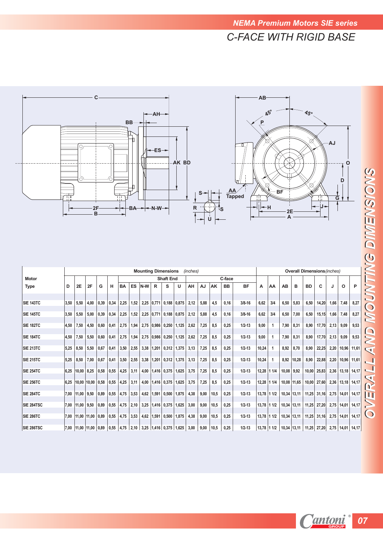

|                  |      |                       |              |      |      |           |           |      |                | <b>Mounting Dimensions</b>                    |               | (inches) |      |      |           |            |       |             |              |               |           | <b>Overall Dimensions</b> (inches)              |      |                  |               |
|------------------|------|-----------------------|--------------|------|------|-----------|-----------|------|----------------|-----------------------------------------------|---------------|----------|------|------|-----------|------------|-------|-------------|--------------|---------------|-----------|-------------------------------------------------|------|------------------|---------------|
| <b>Motor</b>     |      |                       |              |      |      |           |           |      |                | <b>Shaft End</b>                              |               |          |      |      | C-face    |            |       |             |              |               |           |                                                 |      |                  |               |
| <b>Type</b>      | D    | <b>2E</b>             | 2F           | G    | н    | <b>BA</b> | <b>ES</b> | N-W  | R              | s                                             | U             | AH       | AJ   | AK   | <b>BB</b> | <b>BF</b>  | А     | AA          | AB           | в             | <b>BD</b> | C                                               |      | O                | P             |
| <b>SIE 143TC</b> | 3.50 | 5,50                  | 4.00         | 0.39 | 0,34 | 2,25      | 1,52      |      | $2,25$ 0,771   |                                               | $0,188$ 0.875 | 2,12     | 5,88 | 4,5  | 0,16      | $3/8 - 16$ | 6.62  | 3/4         | 6,50         | 5,83          | 6,50      | 14,20                                           | 1,66 | 7,48             | 8,27          |
| <b>SIE 145TC</b> | 3.50 | 5,50                  | 5.00         | 0.39 | 0,34 | 2,25      | 1,52      |      | $2,25$ 0,771   |                                               | $0,188$ 0.875 | 2,12     | 5.88 | 4,5  | 0,16      | $3/8 - 16$ | 6.62  | 3/4         | 6,50         | 7,00          | 6.50      | 15,15                                           | 1,66 | 7,48             | 8,27          |
| <b>SIE 182TC</b> | 4,50 | 7,50                  | 4.50         | 0.60 | 0.41 | 2,75      | 1,94      |      | $2,75$ 0,986   | 0,250                                         | 1.125         | 2.62     | 7.25 | 8.5  | 0,25      | $1/2 - 13$ | 9.00  |             | 7,90         | 8,31          | 8.90      | 17,70                                           | 2.13 | 9,09             | 9,53          |
| <b>SIE 184TC</b> | 4,50 | 7,50                  | 5,50         | 0,60 | 0,41 | 2,75      | 1,94      |      | $2,75$ 0,986   | 0,250                                         | 1,125         | 2,62     | 7.25 | 8,5  | 0,25      | $1/2 - 13$ | 9,00  |             | 7,90         | 8,31          | 8,90      | 17,70                                           | 2,13 | 9,09             | 9,53          |
| <b>SIE 213TC</b> | 5,25 | 8,50                  | 5,50         | 0.67 | 0,41 | 3,50      | 2,55      | 3,38 | 1,201          | 0,312                                         | 1,375         | 3,13     | 7,25 | 8,5  | 0,25      | $1/2 - 13$ | 10,24 |             | 8,92         | 8,70          | 8,90      | 22,25                                           | 2,20 | 10,96            | 11,61         |
| <b>SIE 215TC</b> | 5,25 | 8.50                  | 7.00         | 0.67 | 0,41 | 3,50      | 2,55      |      | $3,38$   1,201 | 0,312                                         | 1,375         | 3.13     | 7.25 | 8.5  | 0,25      | $1/2 - 13$ | 10.24 | -1          | 8,92         | 10,28         | 8,90      | 22,88                                           | 2.20 |                  | 10,96 11,61   |
| <b>SIE 254TC</b> | 6.25 | 10.00                 | 8.25         | 0,58 | 0,55 | 4,25      | 3,11      |      |                | 4,00   1,416   0,375   1,625                  |               | 3,75     | 7,25 | 8,5  | 0,25      | $1/2 - 13$ |       | 12.28 1 1/4 | $10,08$ 9.92 |               | 10,00     | 25,83                                           | 2.36 |                  | $13,18$ 14,17 |
| <b>SIE 256TC</b> | 6,25 | 10.00                 | 10,00        | 0.58 | 0,55 | 4,25      | 3,11      |      |                | 4,00   1,416   0,375                          | 1,625         | 3,75     | 7,25 | 8,5  | 0,25      | $1/2 - 13$ | 12,28 | 11/4        |              | 10,08 11,65   | 10,00     | 27,60                                           | 2,36 |                  | $13,18$ 14,17 |
| <b>SIE 284TC</b> | 7.00 | 11.00                 | 9.50         | 0.89 | 0,55 | 4,75      | 3,53      |      | $4,62$   1,591 | 0,500                                         | 1,875         | 4,38     | 9,00 | 10,5 | 0,25      | $1/2 - 13$ |       | 13.78 1 1/2 |              | 10,34 13,11   | 11,25     | 31.16                                           | 2,75 |                  | 14,01   14,17 |
| SIE 284TSC       |      | 7.00 11.00            | 9.50         | 0.89 | 0.55 | 4,75      | 2,10      |      |                | $3,25$   1,416   0,375   1,625                |               | 3.00     | 9,00 | 10,5 | 0,25      | $1/2 - 13$ |       | 13.78 1 1/2 |              | $10,34$ 13,11 | 11,25     | 27,20                                           | 2.75 |                  | 14,01 14,17   |
| <b>SIE 286TC</b> |      | 7.00 11.00            | $11.00$ 0.89 |      | 0.55 | 4,75      | 3,53      | 4,62 | 1,591          | 0,500                                         | 1,875         | 4.38     | 9.00 | 10,5 | 0,25      | $1/2 - 13$ |       | 13.78 1 1/2 |              | 10.34 13.11   | 11,25     | 31.16                                           | 2.75 |                  | 14,01   14,17 |
| SIE 286TSC       |      | 7.00 11.00 11.00 0.89 |              |      |      |           |           |      |                | $ 0.55 $ 4.75 $ 2.10 $ 3.25 1.416 0.375 1.625 |               | 3.00     | 9.00 | 10.5 | 0.25      | $1/2 - 13$ |       |             |              |               |           | $13,78$   1 1/2   10,34   13,11   11,25   27,20 |      | 2.75 14.01 14.17 |               |

**Cantoni** 07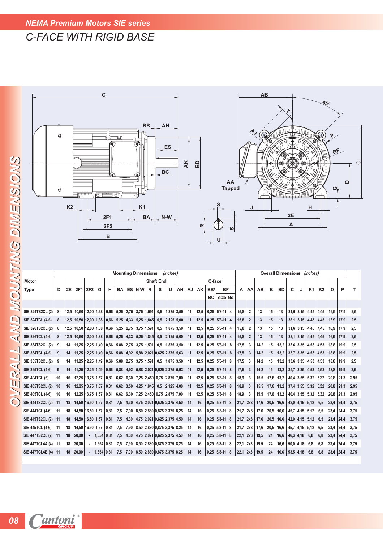## *NEMA Premium Motors SIE series*

# *C-FACE WITH RIGID BASE*



| SNOUNTING DIMENSIONS |                         | €  | K <sub>2</sub> | मण                     |                          |              | 2F1<br>2F <sub>2</sub><br>в | ਣ                          |               | K1   | <b>BA</b>            |                  | BC<br>N-W                   |    | $\overline{A}$ | 50<br>≃ |        | ⊕<br>U              | AA<br>Tapped<br>ဖာ |            | J              | 車    |                                    |           | 2E<br>Α          |       | н                     |           | ပ           | $\Omega$ | O    |
|----------------------|-------------------------|----|----------------|------------------------|--------------------------|--------------|-----------------------------|----------------------------|---------------|------|----------------------|------------------|-----------------------------|----|----------------|---------|--------|---------------------|--------------------|------------|----------------|------|------------------------------------|-----------|------------------|-------|-----------------------|-----------|-------------|----------|------|
|                      |                         |    |                |                        |                          |              |                             | <b>Mounting Dimensions</b> |               |      |                      |                  | (inches)                    |    |                |         |        |                     |                    |            |                |      | <b>Overall Dimensions</b> (inches) |           |                  |       |                       |           |             |          |      |
|                      | <b>Motor</b>            |    |                |                        |                          |              |                             |                            |               |      |                      | <b>Shaft End</b> |                             |    |                |         | C-face |                     |                    |            |                |      |                                    |           |                  |       |                       |           |             |          |      |
|                      | Type                    | D  | 2E             | 2F1                    | <b>2F2</b>               | G            | н                           | BA                         | <b>ES</b>     | N-W  | R                    | s                | U                           | ΑН | AJ             | AK      | BB/    | <b>BF</b>           |                    | А          | АΑ             | AB   | в                                  | <b>BD</b> | c                | J     | K1                    | <b>K2</b> | o           | P        | T    |
|                      |                         |    |                |                        |                          |              |                             |                            |               |      |                      |                  |                             |    |                |         | BC     | size No.            |                    |            |                |      |                                    |           |                  |       |                       |           |             |          |      |
|                      |                         |    |                |                        |                          |              |                             |                            |               |      |                      |                  |                             |    |                |         |        |                     |                    |            |                |      |                                    |           |                  |       |                       |           |             |          |      |
|                      | <b>SIE 324TS2CL (2)</b> | 8  |                | 12,5 10,50 12,00       |                          | 1,38         | 0,66                        |                            |               |      | 5,25 2,75 3,75 1,591 | 0,5              | $1,875$ 3,50                |    | 11             | 12,5    | 0,25   | $ 5/8 - 11 $ 4      |                    | 15,8       | 2              | 13   | 15                                 | 13        |                  |       | $31,6$ 3,15 4,45 4,45 |           | 16,9        | 17,9     | 2,5  |
| $\Box$               | SIE 324TCL (4-6)        | 8  |                | 12,5 10,50             | 12,00 1,38               |              | 0,66                        | $5,25$  4,33               |               |      | $5,25$  1,845        | 0,5              | 2,125 5,00                  |    | 11             | 12,5    |        | $0,25$   5/8-11   4 |                    | 15,8       | $\overline{2}$ | 13   | 15                                 | 13        | $33,1$ 3,15      |       | 4,45                  | 4,45      | 16,9        | 17,9     | 2,5  |
| $\geq$               | SIE 326TS2CL (2)        | 8  | 12,5           | 10,50                  | 12,00                    | 1,38         | 0,66                        |                            | $5,25$ 2,75   | 3,75 | 1,591                | 0,5              | 1,875 3,50                  |    | 11             | 12,5    | 0,25   | $ 5/8 - 11 $ 4      |                    | 15,8       | $\overline{2}$ | 13   | 15                                 | 13        | 31,6             | 3,15  | 4,45                  | 4,45      | 16,9        | 17,9     | 2,5  |
| $\leq t'$            | SIE 326TCL (4-6)        | 8  |                | $12,5$  10,50          | 12,00                    | 1,38         | 0,66                        | $5,25$  4,33               |               | 5,25 | 1,845                | 0,5              | 2,125 5,00                  |    | 11             | 12,5    | 0,25   | $ 5/8 - 11 $ 4      |                    | 15,8       | $\overline{2}$ | 13   | 15                                 | 13        | $33,1 \,   3,15$ |       | 4,45                  | 4,45      | 16,9        | 17,9     | 2,5  |
|                      | SIE 364TS2CL (2)        | 9  | 14             | 11,25 12,25            |                          | 1,49         | 0,66                        |                            | $5,88$ 2,75   | 3,75 | 1,591                | 0,5              | 1,875 3,50                  |    | 11             | 12,5    | 0,25   | $ 5/8 - 11 $ 8      |                    | 17,5       | 3              | 14,2 | 15                                 | 13,2      | 33,6             | 3,35  | 4,53                  | 4,53      | 18,8        | 19,9     | 2,5  |
|                      | SIE 364TCL (4-6)        | 9  | 14             | 11,25 12,25 1,49       |                          |              | 0,66                        |                            | $5,88$   4,92 |      |                      |                  | 5,88 2,021 0,625 2,375 5,63 |    | 11             | 12,5    | 0,25   | $ 5/8-11 8$         |                    | 17,5       | 3              | 14,2 | 15                                 | 13,2      | 35,7             | 3,35  | 4,53   4,53           |           | 18,8        | 19,9     | 2,5  |
|                      | SIE 365TS2CL (2)        | 9  | 14             | 11,25 12,25            |                          | 1,49         | 0,66                        |                            | $5,88$ 2,75   | 3,75 | 1,591                | 0,5              | 1,875 3,50                  |    | 11             | 12,5    | 0,25   | 5/8-11              | 8                  | 17,5       | 3              | 14,2 | 15                                 | 13,2      | 33,6             | 3,35  | 4,53                  | 4,53      | 18,8        | 19,9     | 2,5  |
| $\leq$<br>2          | SIE 365TCL (4-6)        | 9  | 14             | 11,25 12,25 1,49       |                          |              | 0,66                        |                            | 5,88 4,92     |      |                      |                  | 5,88 2,021 0,625 2,375 5,63 |    | 11             | 12,5    | 0,25   | $ 5/8-11 8$         |                    | 17,5       | 3              | 14,2 | 15                                 | 13,2      | 35,7             | 3,35  | 4,53 4,53             |           | 18,8        | 19,9     | 2,5  |
|                      | <b>SIE 404TCL (6)</b>   | 10 | 16             | 12,25 13,75            |                          | 1,57         | 0,81                        | $6,62$ $ 6,30$             |               |      | 7,25 2,450 0,75      |                  | 2,875 7,00                  |    | 11             | 12,5    | 0,25   | 5/8-11              | 8                  | 18,9       | 3              | 15,5 | 17,6                               | 13,2      | 40,4             | 3,55  | $5,32$ 5,32           |           | 20,8        | 21,3     | 2,95 |
| III                  | SIE 405TS2CL (2)        | 10 | 16             | $12,25$ $13,75$ $1,57$ |                          |              | 0,81                        | $6,62$ 3,50                |               |      | 4,25 1,845           | 0,5              | 2,125 4,00                  |    | 11             | 12,5    |        | $0,25$   5/8-11   8 |                    | 18,9       | 3              | 15,5 | 17,6                               | 13,2      | $37,4$ 3,55      |       | $5,32$ 5,32           |           | $20,8$ 21,3 |          | 2,95 |
|                      | SIE 405TCL (4-6)        | 10 | 16             | 12,25 13,75            |                          | 1,57         | 0,81                        | $6,62$ $ 6,30$             |               |      | 7,25 2,450 0,75      |                  | 2,875 7,00                  |    | 11             | 12,5    | 0,25   | 5/8-11              | 8                  | 18,9       | 3              | 15,5 | 17,6                               | 13,2      | 40,4             | 3,55  | $5,32$ 5,32           |           | 20,8        | 21,3     | 2,95 |
| $\bigcirc$           | <b>SIE 444TS2CL (2)</b> | 11 | 18             | 14,50   16,50   1,57   |                          |              | 0,81                        | 7,5                        | 4,30          |      |                      |                  | 4,75 2,021 0,625 2,375 4,50 |    | 14             | 16      |        | $0,25$   5/8-11   8 |                    | 21,7       | 2x3            | 17,6 | 20,5                               | 16,6      | 42,0 4,15        |       | 5,12                  | 6,5       | 23,4        | 24,4     | 3,75 |
|                      | SIE 444TCL (4-6)        | 11 | 18             | 14,50 16,50 1,57       |                          |              | 0,81                        | 7,5                        | 7,90          |      |                      |                  | 8,50 2,880 0,875 3,375 8,25 |    | 14             | 16      | 0,25   | $ 5/8 - 11 $ 8      |                    | 21,7       | 2x3            | 17,6 | 20,5                               | 16,6      | 45,7             | 4,15  | 5,12                  | 6,5       | 23,4        | 24,4     | 3,75 |
|                      | <b>SIE 445TS2CL (2)</b> | 11 | 18             | 14,50 16,50 1,57       |                          |              | 0,81                        | 7,5                        | 4,30          |      |                      |                  | 4,75 2,021 0,625 2,375 4,50 |    | 14             | 16      |        | $0,25$   5/8-11   8 |                    | 21,7       | 2x3            | 17,6 | 20,5                               | 16,6      | 42,0             | 4,15  | 5,12                  | 6,5       | 23,4        | 24,4     | 3,75 |
|                      | SIE 445TCL (4-6)        | 11 | 18             | 14,50                  | $16,50$ $1,57$           |              | 0,81                        | 7,5                        | 7,90          |      |                      |                  | 8,50 2,880 0,875 3,375 8,25 |    | 14             | 16      | 0,25   | $ 5/8 - 11 $ 8      |                    | 21,7       | 2x3            | 17,6 | 20,5                               | 16,6      | 45,7             | 4,15  | 5,12                  | 6,5       | 23,4        | 24,4     | 3,75 |
|                      | <b>SIE 447TS2CL (2)</b> | 11 | 18             | 20,00                  | $\overline{\phantom{a}}$ | $1,654$ 0,81 |                             | 7,5                        | 4,30          |      |                      |                  | 4,75 2,021 0,625 2,375 4,50 |    | 14             | 16      | 0,25   | $5/8 - 11$          | 8                  | 22,1       | 2x3            | 19,5 | 24                                 | 16,6      | 46,3             | 4, 18 | 6,8                   | 6,8       | 23,4        | 24,4     | 3,75 |
|                      | <b>SIE 447TCL4A (4)</b> | 11 | 18             | 20,00                  | ٠.                       | 1,654   0,81 |                             | 7,5                        | 7,90          |      |                      |                  | 8,50 2,880 0,875 3,375 8,25 |    | 14             | 16      | 0,25   | $5/8 - 11$          | 8                  | 22,1       | 2x3            | 19,5 | 24                                 | 16,6      | 50,0             | 4,18  | 6,8                   | 6,8       | 23,4 24,4   |          | 3,75 |
|                      | <b>SIE 447TCL4B (4)</b> | 11 | 18             | 20,00                  |                          | 1,654        | 0.81                        | 7,5                        | 7,90          |      |                      |                  | 8,50 2,880 0,875 3,375 8,25 |    | 14             | 16      | 0,25   | $ 5/8 - 11 $        | 8                  | $22,1$ 2x3 |                | 19,5 | 24                                 | 16,6      | 53,5             | 4,18  | 6,8                   | 6,8       | 23,4        | 24,4     | 3,75 |
|                      |                         |    |                |                        |                          |              |                             |                            |               |      |                      |                  |                             |    |                |         |        |                     |                    |            |                |      |                                    |           |                  |       |                       |           |             |          |      |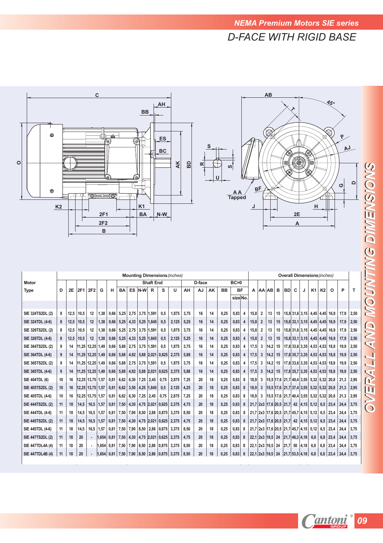

|                                                                                                                                          |                                  |                                        |                                                |                    |                                                                            |                                                      |                              |      |                             |                   |                                                                                                                                                                                                                               | <b>Mounting Dimensions (inches)</b>                         |                                                      |                                        |                                        |                                                      |                                                      |                            |                                   |                |        |    |           |                                                                  |   | <b>Overall Dimensions</b> (inches)                                                                                                                                                                             |    |                                                                                        |                                                      |                                                       |
|------------------------------------------------------------------------------------------------------------------------------------------|----------------------------------|----------------------------------------|------------------------------------------------|--------------------|----------------------------------------------------------------------------|------------------------------------------------------|------------------------------|------|-----------------------------|-------------------|-------------------------------------------------------------------------------------------------------------------------------------------------------------------------------------------------------------------------------|-------------------------------------------------------------|------------------------------------------------------|----------------------------------------|----------------------------------------|------------------------------------------------------|------------------------------------------------------|----------------------------|-----------------------------------|----------------|--------|----|-----------|------------------------------------------------------------------|---|----------------------------------------------------------------------------------------------------------------------------------------------------------------------------------------------------------------|----|----------------------------------------------------------------------------------------|------------------------------------------------------|-------------------------------------------------------|
| <b>Motor</b>                                                                                                                             |                                  |                                        |                                                |                    |                                                                            |                                                      |                              |      |                             | <b>Shaft End</b>  |                                                                                                                                                                                                                               |                                                             | D-face                                               |                                        |                                        | $BC=0$                                               |                                                      |                            |                                   |                |        |    |           |                                                                  |   |                                                                                                                                                                                                                |    |                                                                                        |                                                      |                                                       |
| <b>Type</b>                                                                                                                              | D                                | <b>2E</b>                              | 2F1                                            | 2F <sub>2</sub>    | G                                                                          | н                                                    | <b>BA</b>                    |      | ES N-W                      | R                 | s                                                                                                                                                                                                                             | U                                                           | AH                                                   | AJ                                     | AK                                     | <b>BB</b>                                            | <b>BF</b>                                            |                            |                                   |                | A AAAB | B  | <b>BD</b> | C                                                                | J | K1                                                                                                                                                                                                             | K2 | $\circ$                                                                                | P                                                    | T                                                     |
|                                                                                                                                          |                                  |                                        |                                                |                    |                                                                            |                                                      |                              |      |                             |                   |                                                                                                                                                                                                                               |                                                             |                                                      |                                        |                                        |                                                      | size No.                                             |                            |                                   |                |        |    |           |                                                                  |   |                                                                                                                                                                                                                |    |                                                                                        |                                                      |                                                       |
|                                                                                                                                          |                                  |                                        |                                                |                    |                                                                            |                                                      |                              |      |                             |                   |                                                                                                                                                                                                                               |                                                             |                                                      |                                        |                                        |                                                      |                                                      |                            |                                   |                |        |    |           |                                                                  |   |                                                                                                                                                                                                                |    |                                                                                        |                                                      |                                                       |
| SIE 324TS2DL (2)                                                                                                                         | 8                                | 12.5                                   | 10.5                                           | 12                 | 1.38                                                                       |                                                      | $0.66$ 5.25                  |      |                             | 2.75 3.75 1.591   | 0.5                                                                                                                                                                                                                           | 1.875                                                       | 3.75                                                 | 16                                     | 14                                     | 0.25                                                 | 0.83                                                 | $\overline{\mathbf{4}}$    | 15.8                              | $\overline{2}$ | 13     | 15 |           |                                                                  |   | 15.8 31.6 3.15 4.45 4.45 16.9                                                                                                                                                                                  |    |                                                                                        | 17.9                                                 | 2.50                                                  |
| SIE 324TDL (4-6)                                                                                                                         | 8                                | 12,5                                   | 10,5                                           | 12                 | 1,38                                                                       | 0,66                                                 | 5,25                         | 4,33 |                             | 5,25   1,845      | 0,5                                                                                                                                                                                                                           | 2,125                                                       | 5,25                                                 | 16                                     | 14                                     | 0,25                                                 | 0,83                                                 | 4                          | 15,8                              | $\overline{2}$ | 13     |    |           |                                                                  |   | 15   15,8 33,1 3,15   4,45   4,45   16,9                                                                                                                                                                       |    |                                                                                        | 17,9                                                 | 2,50                                                  |
| SIE 326TS2DL (2)                                                                                                                         | 8                                | 12,5                                   | 10,5                                           | 12                 | 1,38                                                                       |                                                      | $0,66$ 5,25                  |      | 2,75 3,75 1,591             |                   | 0.5                                                                                                                                                                                                                           | 1,875                                                       | 3.75                                                 | 16                                     | 14                                     | 0.25                                                 | 0,83                                                 | 4                          | 15,8                              | $\overline{2}$ | 13     | 15 |           |                                                                  |   | 15,8 31,6 3,15 4,45 4,45 16,9                                                                                                                                                                                  |    |                                                                                        | 17,9                                                 | 2,50                                                  |
| SIE 326TDL (4-6)                                                                                                                         | 8                                | 12,5                                   | 10,5                                           | 12                 | 1,38                                                                       | 0,66                                                 | 5,25                         |      |                             | 4,33 5,25 1,845   | 0,5                                                                                                                                                                                                                           | 2,125                                                       | 5,25                                                 | 16                                     | 14                                     | 0,25                                                 | 0,83                                                 | 4                          | 15,8                              | $\overline{2}$ | 13     | 15 |           |                                                                  |   | 15,8 33,1 3,15 4,45 4,45 16,9                                                                                                                                                                                  |    |                                                                                        | 17,9                                                 | 2,50                                                  |
| SIE 364TS2DL (2)                                                                                                                         | 9                                | 14                                     |                                                | $11,25$ 12,25 1,49 |                                                                            |                                                      | $0,66$ 5,88                  |      | 2,75 3,75 1,591             |                   | 0.5                                                                                                                                                                                                                           | 1,875                                                       | 3.75                                                 | 16                                     | 14                                     | 0.25                                                 | 0,83                                                 | 4                          | 17,5                              | 3              | 14,2   |    |           |                                                                  |   | $15$   17,8 33,6 3,35   4,53   4,53   18,8                                                                                                                                                                     |    |                                                                                        | 19,9                                                 | 2,50                                                  |
| SIE 364TDL (4-6)                                                                                                                         | 9                                | 14                                     |                                                | $11,25$ 12,25 1,49 |                                                                            | 0,66                                                 | 5,88                         |      |                             |                   | $4,92$   5,88   2,021   0,625                                                                                                                                                                                                 | 2,375                                                       | 5,88                                                 | 16                                     | 14                                     | 0,25                                                 | 0,83                                                 | 4                          | 17,5                              | 3              | 14,2   |    |           |                                                                  |   | 15   17,8 35,7 3,35   4,53   4,53   18,8                                                                                                                                                                       |    |                                                                                        | 19,9                                                 | 2,50                                                  |
| SIE 365TS2DL (2)                                                                                                                         | 9                                | 14                                     |                                                | 11,25 12,25 1,49   |                                                                            | 0,66                                                 | 5,88                         |      | 2,75 3,75 1,591             |                   | 0.5                                                                                                                                                                                                                           | 1,875                                                       | 3.75                                                 | 16                                     | 14                                     | 0.25                                                 | 0,83                                                 | 4                          | 17,5                              | 3              | 14,2   |    |           |                                                                  |   | 15   17,8 33,6 3,35   4,53   4,53   18,8                                                                                                                                                                       |    |                                                                                        | 19,9                                                 | 2,50                                                  |
| SIE 365TDL (4-6)                                                                                                                         | 9                                | 14                                     |                                                | $11,25$ 12,25 1,49 |                                                                            | 0,66                                                 | 5,88                         |      |                             |                   | $ 4,92 $ 5,88 2,021 0,625                                                                                                                                                                                                     | 2,375                                                       | 5,88                                                 | 16                                     | 14                                     | 0,25                                                 | 0,83                                                 | 4                          | 17,5                              | 3              |        |    |           |                                                                  |   | $ 14,2 $ 15   17,8 35,7 3,35   4,53   4,53   18,8                                                                                                                                                              |    |                                                                                        | 19,9                                                 | 2,50                                                  |
| <b>SIE 404TDL (6)</b>                                                                                                                    | 10                               | 16                                     |                                                | $12,25$ 13,75 1,57 |                                                                            | 0,81                                                 |                              |      | $6,62$   6,30   7,25   2,45 |                   | 0,75                                                                                                                                                                                                                          | 2,875                                                       | 7,25                                                 | 20                                     | 18                                     | 0.25                                                 | 0,83                                                 | 8                          | 18.9                              | 3              |        |    |           |                                                                  |   | $ 15,5 17,6 21,7 40,4 3,55 5,32 5,32 20,8$                                                                                                                                                                     |    |                                                                                        | 21,3                                                 | 2,95                                                  |
| SIE 405TS2DL (2)                                                                                                                         | 10 <sup>1</sup>                  | 16                                     |                                                | $12,25$ 13,75 1,57 |                                                                            | 0,81                                                 | 6,62                         |      |                             | $3,50$ 4.25 1.845 | 0,5                                                                                                                                                                                                                           | 2,125                                                       | 4,25                                                 | 20                                     | 18                                     | 0,25                                                 | 0,83                                                 | 8                          | 18.9                              | 3              |        |    |           |                                                                  |   | $ 15,5 17,6 21,7 37,4 3,55 5,32 5,32 20,8$                                                                                                                                                                     |    |                                                                                        | 21,3                                                 | 2,95                                                  |
| SIE 405TDL (4-6)                                                                                                                         | 10                               | 16                                     |                                                | 12,25 13,75 1,57   |                                                                            | 0,81                                                 | 6,62                         | 6,30 | 7,25 2,45                   |                   | 0,75                                                                                                                                                                                                                          | 2,875                                                       | 7,25                                                 | 20                                     | 18                                     | 0,25                                                 | 0,83                                                 | 8                          | 18.9                              | 3              |        |    |           |                                                                  |   | $ 15,5 17,6 21,7 40,4 3,55 5,32 5,32 20,8$                                                                                                                                                                     |    |                                                                                        | 21,3                                                 | 2,95                                                  |
|                                                                                                                                          |                                  |                                        |                                                |                    |                                                                            |                                                      |                              |      |                             |                   |                                                                                                                                                                                                                               |                                                             |                                                      |                                        |                                        |                                                      |                                                      |                            |                                   |                |        |    |           |                                                                  |   |                                                                                                                                                                                                                |    |                                                                                        |                                                      |                                                       |
|                                                                                                                                          |                                  |                                        |                                                |                    |                                                                            |                                                      |                              |      |                             |                   |                                                                                                                                                                                                                               |                                                             |                                                      |                                        |                                        |                                                      |                                                      |                            |                                   |                |        |    |           |                                                                  |   |                                                                                                                                                                                                                |    |                                                                                        |                                                      |                                                       |
|                                                                                                                                          |                                  |                                        |                                                |                    |                                                                            |                                                      |                              |      |                             |                   |                                                                                                                                                                                                                               |                                                             |                                                      |                                        |                                        |                                                      |                                                      |                            |                                   |                |        |    |           |                                                                  |   |                                                                                                                                                                                                                |    |                                                                                        |                                                      |                                                       |
|                                                                                                                                          |                                  |                                        |                                                |                    |                                                                            |                                                      |                              |      |                             |                   |                                                                                                                                                                                                                               |                                                             |                                                      |                                        |                                        |                                                      |                                                      |                            |                                   |                |        |    |           |                                                                  |   |                                                                                                                                                                                                                |    |                                                                                        |                                                      |                                                       |
|                                                                                                                                          |                                  |                                        |                                                |                    |                                                                            |                                                      |                              |      |                             |                   |                                                                                                                                                                                                                               |                                                             |                                                      |                                        |                                        |                                                      |                                                      |                            |                                   |                |        |    |           |                                                                  |   |                                                                                                                                                                                                                |    |                                                                                        |                                                      |                                                       |
|                                                                                                                                          |                                  |                                        |                                                |                    |                                                                            |                                                      |                              |      |                             |                   |                                                                                                                                                                                                                               |                                                             |                                                      |                                        |                                        |                                                      |                                                      |                            |                                   |                |        |    |           |                                                                  |   |                                                                                                                                                                                                                |    |                                                                                        |                                                      |                                                       |
|                                                                                                                                          |                                  |                                        |                                                |                    |                                                                            |                                                      |                              |      |                             |                   |                                                                                                                                                                                                                               |                                                             |                                                      |                                        |                                        |                                                      |                                                      |                            |                                   |                |        |    |           |                                                                  |   |                                                                                                                                                                                                                |    |                                                                                        |                                                      |                                                       |
|                                                                                                                                          | 11                               |                                        |                                                |                    |                                                                            |                                                      |                              |      |                             |                   |                                                                                                                                                                                                                               |                                                             |                                                      |                                        |                                        |                                                      |                                                      | 8                          |                                   |                |        |    |           |                                                                  |   |                                                                                                                                                                                                                |    |                                                                                        |                                                      |                                                       |
| SIE 444TS2DL (2)<br>SIE 444TDL (4-6)<br>SIE 445TS2DL (2)<br>SIE 445TDL (4-6)<br>SIE 447TS2DL (2)<br>SIE 447TDL4A (4)<br>SIE 447TDL4B (4) | 11<br>11<br>11<br>11<br>11<br>11 | 18<br>18<br>18<br>18<br>18<br>18<br>18 | 14,5<br>14,5<br>14,5<br>14,5<br>20<br>20<br>20 | ۰                  | $16,5$   1,57<br>$16,5$   1,57<br>$16,5$   1,57<br>$16,5$   1,57<br> 1,654 | 0,81<br>0,81<br>0,81<br>0,81<br>$1,654$ 0.81<br>0,81 | 7,50<br>7,50<br>7,50<br>7,50 |      |                             |                   | 7,50 4,30 4,75 2,021 0,625<br>7,90 8,50 2,88 0,875<br>4,30   4,75   2,021   0,625<br>7,90 8,50 2,88 0,875<br>7,50 4,30 4,75 2,021 0,625<br>7,90   8,50   2,88   0,875  <br>$ 1,654 $ 0,81   7,50   7,90   8,50   2,88   0,875 | 2,375<br>3.375<br>2,375<br>3,375<br>2,375<br>3,375<br>3,375 | 4,75<br>8.50<br>4,75<br>8.50<br>4.75<br>8.50<br>8,50 | 20<br>20<br>20<br>20<br>20<br>20<br>20 | 18<br>18<br>18<br>18<br>18<br>18<br>18 | 0.25<br>0.25<br>0,25<br>0,25<br>0,25<br>0.25<br>0,25 | 0,83<br>0,83<br>0,83<br>0,83<br>0,83<br>0,83<br>0,83 | 8<br>8<br>8<br>8<br>8<br>8 | $22,1$ 2x3 19,5 24 21,7 53,5 4,18 |                |        |    |           | 22,1 2x3 19,5 24 21,7 46,3 4,18<br>22,1 2x3 19,5 24 21,7 50 4,18 |   | $21,7$ $2x3$ $17,6$ $20,5$ $21,7$ 42 $4,15$ 5,12 6,5 23,4<br>21,7 2x3 17,6 20,5 21,7 45,7 4,15 5,12<br>$ 21,7 2x3 17,6 20,5 21,7 42 4,15 5,12 $<br>21,7 2x3 17,6 20,5 21,7 45,7 4,15 5,12<br>6,8<br>6,8<br>6,8 |    | $6,5$ 23,4<br>$6,5$ 23,4<br>$6,5$   23,4<br>$6,8$   23,4<br>$6,8$ 23,4<br>$6,8$   23,4 | 24,4<br>24,4<br>24,4<br>24,4<br>24,4<br>24,4<br>24,4 | 3,75<br>3,75<br>3,75<br>3,75<br>3,75<br>3,75<br> 3,75 |

Cantoni 09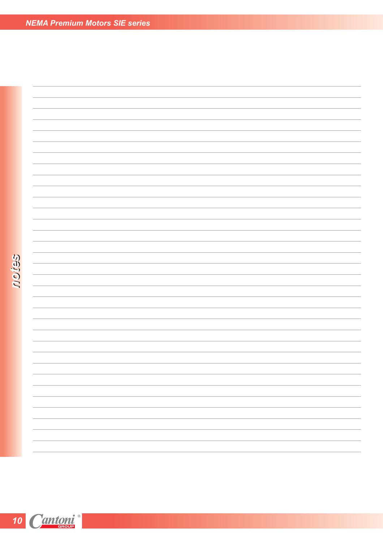roies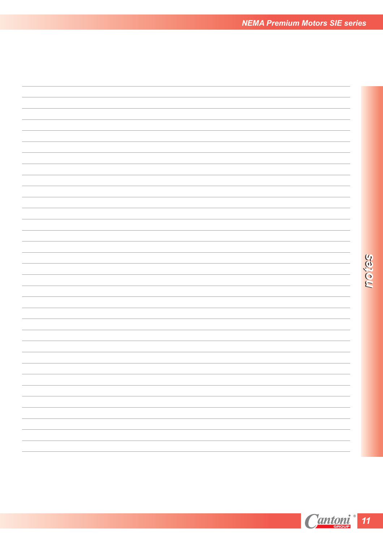